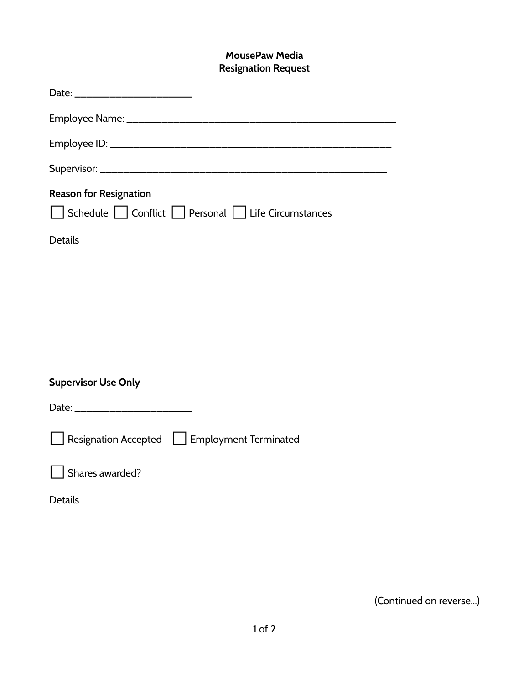## **MousePaw Media Resignation Request**

| <b>Reason for Resignation</b><br>Schedule Conflict Personal Life Circumstances |
|--------------------------------------------------------------------------------|
| <b>Details</b>                                                                 |
|                                                                                |
|                                                                                |
|                                                                                |
|                                                                                |
|                                                                                |
| <b>Supervisor Use Only</b>                                                     |
|                                                                                |
| Resignation Accepted   Employment Terminated                                   |
| Shares awarded?                                                                |
| <b>Details</b>                                                                 |

(Continued on reverse...)